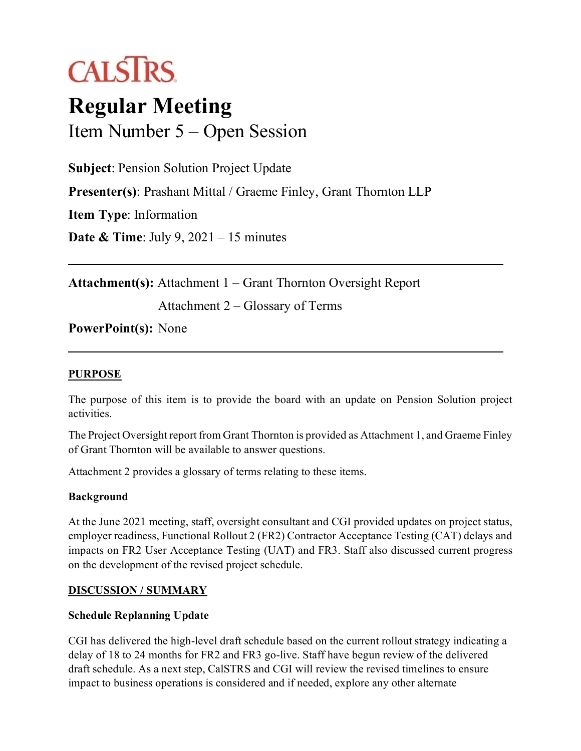# **CALSTRS**

# **Regular Meeting** Item Number 5 – Open Session

**Subject**: Pension Solution Project Update **Presenter(s)**: Prashant Mittal / Graeme Finley, Grant Thornton LLP **Item Type**: Information **Date & Time**: July 9, 2021 – 15 minutes

**Attachment(s):** Attachment 1 – Grant Thornton Oversight Report

Attachment 2 – Glossary of Terms

#### **PowerPoint(s):** None

#### **PURPOSE**

The purpose of this item is to provide the board with an update on Pension Solution project activities.

The Project Oversight report from Grant Thornton is provided as Attachment 1, and Graeme Finley of Grant Thornton will be available to answer questions.

Attachment 2 provides a glossary of terms relating to these items.

#### **Background**

At the June 2021 meeting, staff, oversight consultant and CGI provided updates on project status, employer readiness, Functional Rollout 2 (FR2) Contractor Acceptance Testing (CAT) delays and impacts on FR2 User Acceptance Testing (UAT) and FR3. Staff also discussed current progress on the development of the revised project schedule.

#### **DISCUSSION / SUMMARY**

#### **Schedule Replanning Update**

CGI has delivered the high-level draft schedule based on the current rollout strategy indicating a delay of 18 to 24 months for FR2 and FR3 go-live. Staff have begun review of the delivered draft schedule. As a next step, CalSTRS and CGI will review the revised timelines to ensure impact to business operations is considered and if needed, explore any other alternate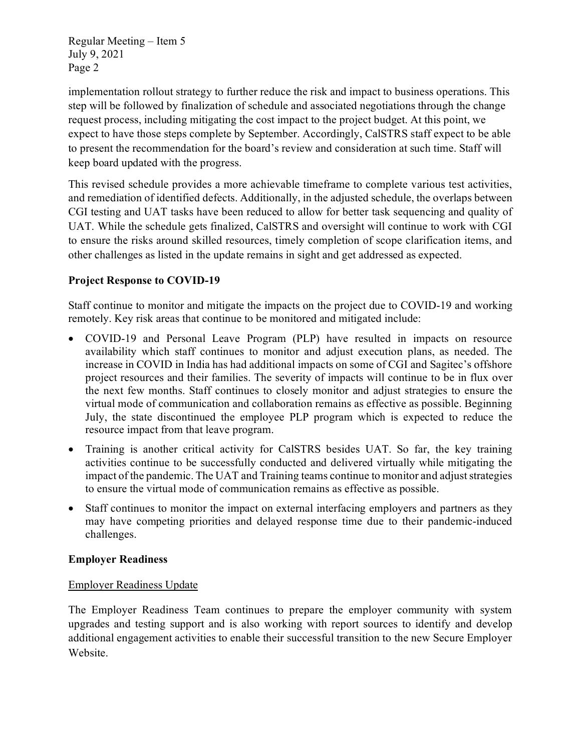Regular Meeting – Item 5 July 9, 2021 Page 2

implementation rollout strategy to further reduce the risk and impact to business operations. This step will be followed by finalization of schedule and associated negotiations through the change request process, including mitigating the cost impact to the project budget. At this point, we expect to have those steps complete by September. Accordingly, CalSTRS staff expect to be able to present the recommendation for the board's review and consideration at such time. Staff will keep board updated with the progress.

This revised schedule provides a more achievable timeframe to complete various test activities, and remediation of identified defects. Additionally, in the adjusted schedule, the overlaps between CGI testing and UAT tasks have been reduced to allow for better task sequencing and quality of UAT. While the schedule gets finalized, CalSTRS and oversight will continue to work with CGI to ensure the risks around skilled resources, timely completion of scope clarification items, and other challenges as listed in the update remains in sight and get addressed as expected.

#### **Project Response to COVID-19**

Staff continue to monitor and mitigate the impacts on the project due to COVID-19 and working remotely. Key risk areas that continue to be monitored and mitigated include:

- COVID-19 and Personal Leave Program (PLP) have resulted in impacts on resource availability which staff continues to monitor and adjust execution plans, as needed. The increase in COVID in India has had additional impacts on some of CGI and Sagitec's offshore project resources and their families. The severity of impacts will continue to be in flux over the next few months. Staff continues to closely monitor and adjust strategies to ensure the virtual mode of communication and collaboration remains as effective as possible. Beginning July, the state discontinued the employee PLP program which is expected to reduce the resource impact from that leave program.
- Training is another critical activity for CalSTRS besides UAT. So far, the key training activities continue to be successfully conducted and delivered virtually while mitigating the impact of the pandemic. The UAT and Training teams continue to monitor and adjust strategies to ensure the virtual mode of communication remains as effective as possible.
- Staff continues to monitor the impact on external interfacing employers and partners as they may have competing priorities and delayed response time due to their pandemic-induced challenges.

#### **Employer Readiness**

#### Employer Readiness Update

The Employer Readiness Team continues to prepare the employer community with system upgrades and testing support and is also working with report sources to identify and develop additional engagement activities to enable their successful transition to the new Secure Employer Website.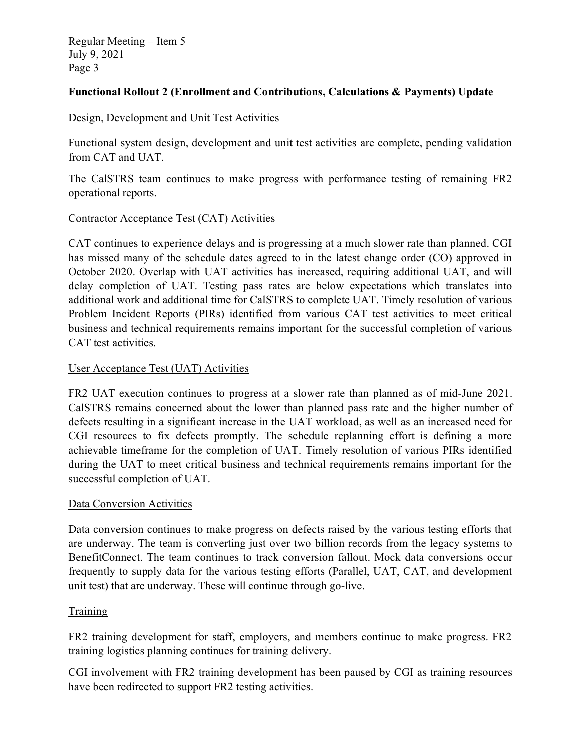Regular Meeting – Item 5 July 9, 2021 Page 3

#### **Functional Rollout 2 (Enrollment and Contributions, Calculations & Payments) Update**

#### Design, Development and Unit Test Activities

Functional system design, development and unit test activities are complete, pending validation from CAT and UAT.

The CalSTRS team continues to make progress with performance testing of remaining FR2 operational reports.

#### Contractor Acceptance Test (CAT) Activities

CAT continues to experience delays and is progressing at a much slower rate than planned. CGI has missed many of the schedule dates agreed to in the latest change order (CO) approved in October 2020. Overlap with UAT activities has increased, requiring additional UAT, and will delay completion of UAT. Testing pass rates are below expectations which translates into additional work and additional time for CalSTRS to complete UAT. Timely resolution of various Problem Incident Reports (PIRs) identified from various CAT test activities to meet critical business and technical requirements remains important for the successful completion of various CAT test activities.

#### User Acceptance Test (UAT) Activities

FR2 UAT execution continues to progress at a slower rate than planned as of mid-June 2021. CalSTRS remains concerned about the lower than planned pass rate and the higher number of defects resulting in a significant increase in the UAT workload, as well as an increased need for CGI resources to fix defects promptly. The schedule replanning effort is defining a more achievable timeframe for the completion of UAT. Timely resolution of various PIRs identified during the UAT to meet critical business and technical requirements remains important for the successful completion of UAT.

#### Data Conversion Activities

Data conversion continues to make progress on defects raised by the various testing efforts that are underway. The team is converting just over two billion records from the legacy systems to BenefitConnect. The team continues to track conversion fallout. Mock data conversions occur frequently to supply data for the various testing efforts (Parallel, UAT, CAT, and development unit test) that are underway. These will continue through go-live.

#### Training

FR2 training development for staff, employers, and members continue to make progress. FR2 training logistics planning continues for training delivery.

CGI involvement with FR2 training development has been paused by CGI as training resources have been redirected to support FR2 testing activities.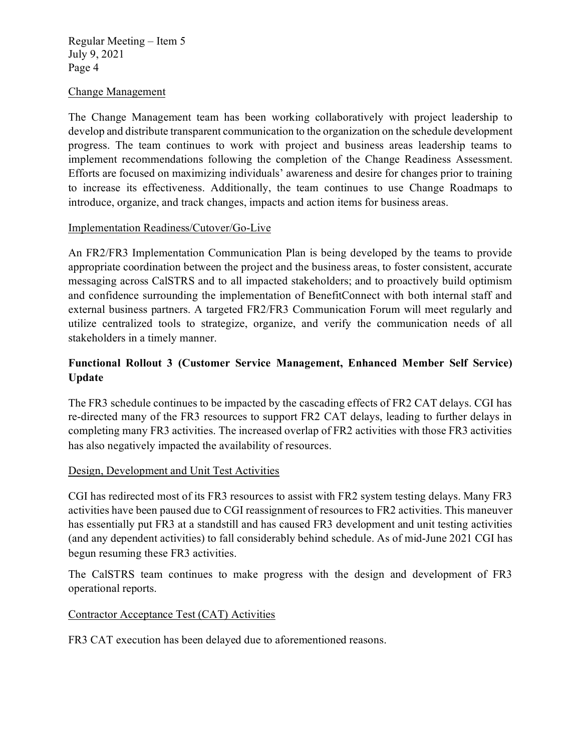Regular Meeting – Item 5 July 9, 2021 Page 4

#### Change Management

The Change Management team has been working collaboratively with project leadership to develop and distribute transparent communication to the organization on the schedule development progress. The team continues to work with project and business areas leadership teams to implement recommendations following the completion of the Change Readiness Assessment. Efforts are focused on maximizing individuals' awareness and desire for changes prior to training to increase its effectiveness. Additionally, the team continues to use Change Roadmaps to introduce, organize, and track changes, impacts and action items for business areas.

#### Implementation Readiness/Cutover/Go-Live

An FR2/FR3 Implementation Communication Plan is being developed by the teams to provide appropriate coordination between the project and the business areas, to foster consistent, accurate messaging across CalSTRS and to all impacted stakeholders; and to proactively build optimism and confidence surrounding the implementation of BenefitConnect with both internal staff and external business partners. A targeted FR2/FR3 Communication Forum will meet regularly and utilize centralized tools to strategize, organize, and verify the communication needs of all stakeholders in a timely manner.

#### **Functional Rollout 3 (Customer Service Management, Enhanced Member Self Service) Update**

The FR3 schedule continues to be impacted by the cascading effects of FR2 CAT delays. CGI has re-directed many of the FR3 resources to support FR2 CAT delays, leading to further delays in completing many FR3 activities. The increased overlap of FR2 activities with those FR3 activities has also negatively impacted the availability of resources.

#### Design, Development and Unit Test Activities

CGI has redirected most of its FR3 resources to assist with FR2 system testing delays. Many FR3 activities have been paused due to CGI reassignment of resources to FR2 activities. This maneuver has essentially put FR3 at a standstill and has caused FR3 development and unit testing activities (and any dependent activities) to fall considerably behind schedule. As of mid-June 2021 CGI has begun resuming these FR3 activities.

The CalSTRS team continues to make progress with the design and development of FR3 operational reports.

#### Contractor Acceptance Test (CAT) Activities

FR3 CAT execution has been delayed due to aforementioned reasons.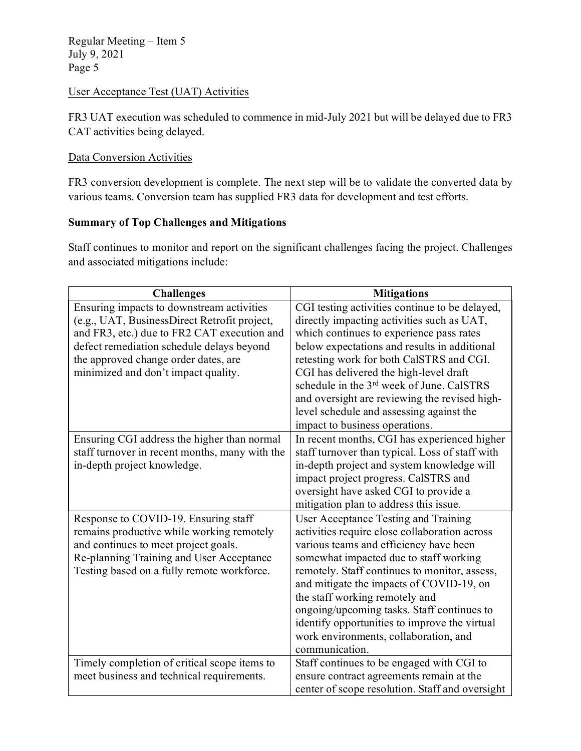Regular Meeting – Item 5 July 9, 2021 Page 5

#### User Acceptance Test (UAT) Activities

FR3 UAT execution was scheduled to commence in mid-July 2021 but will be delayed due to FR3 CAT activities being delayed.

#### Data Conversion Activities

FR3 conversion development is complete. The next step will be to validate the converted data by various teams. Conversion team has supplied FR3 data for development and test efforts.

#### **Summary of Top Challenges and Mitigations**

Staff continues to monitor and report on the significant challenges facing the project. Challenges and associated mitigations include:

| <b>Challenges</b>                                                                                                                                                                                                                                                    | <b>Mitigations</b>                                                                                                                                                                                                                                                                                                                                                                                                                                                 |
|----------------------------------------------------------------------------------------------------------------------------------------------------------------------------------------------------------------------------------------------------------------------|--------------------------------------------------------------------------------------------------------------------------------------------------------------------------------------------------------------------------------------------------------------------------------------------------------------------------------------------------------------------------------------------------------------------------------------------------------------------|
| Ensuring impacts to downstream activities<br>(e.g., UAT, BusinessDirect Retrofit project,<br>and FR3, etc.) due to FR2 CAT execution and<br>defect remediation schedule delays beyond<br>the approved change order dates, are<br>minimized and don't impact quality. | CGI testing activities continue to be delayed,<br>directly impacting activities such as UAT,<br>which continues to experience pass rates<br>below expectations and results in additional<br>retesting work for both CalSTRS and CGI.<br>CGI has delivered the high-level draft<br>schedule in the 3rd week of June. CalSTRS<br>and oversight are reviewing the revised high-<br>level schedule and assessing against the<br>impact to business operations.         |
| Ensuring CGI address the higher than normal<br>staff turnover in recent months, many with the<br>in-depth project knowledge.                                                                                                                                         | In recent months, CGI has experienced higher<br>staff turnover than typical. Loss of staff with<br>in-depth project and system knowledge will<br>impact project progress. CalSTRS and<br>oversight have asked CGI to provide a<br>mitigation plan to address this issue.                                                                                                                                                                                           |
| Response to COVID-19. Ensuring staff<br>remains productive while working remotely<br>and continues to meet project goals.<br>Re-planning Training and User Acceptance<br>Testing based on a fully remote workforce.                                                  | User Acceptance Testing and Training<br>activities require close collaboration across<br>various teams and efficiency have been<br>somewhat impacted due to staff working<br>remotely. Staff continues to monitor, assess,<br>and mitigate the impacts of COVID-19, on<br>the staff working remotely and<br>ongoing/upcoming tasks. Staff continues to<br>identify opportunities to improve the virtual<br>work environments, collaboration, and<br>communication. |
| Timely completion of critical scope items to<br>meet business and technical requirements.                                                                                                                                                                            | Staff continues to be engaged with CGI to<br>ensure contract agreements remain at the<br>center of scope resolution. Staff and oversight                                                                                                                                                                                                                                                                                                                           |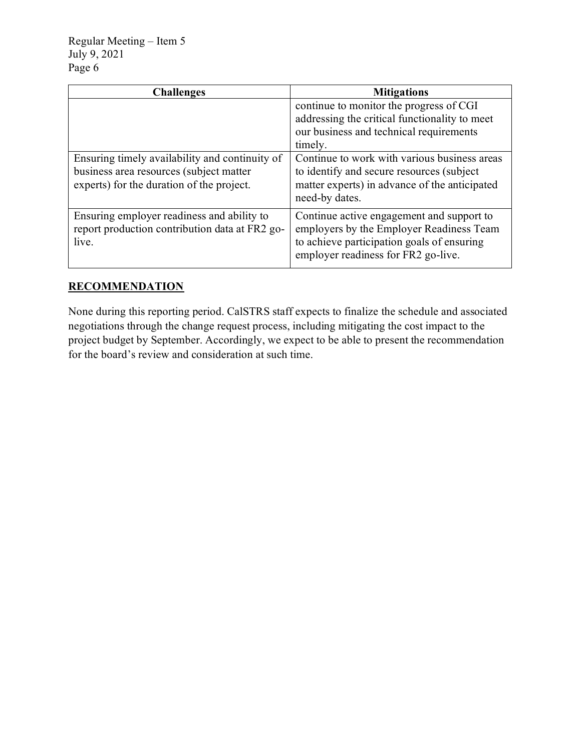| <b>Challenges</b>                              | <b>Mitigations</b>                            |  |
|------------------------------------------------|-----------------------------------------------|--|
|                                                | continue to monitor the progress of CGI       |  |
|                                                | addressing the critical functionality to meet |  |
|                                                | our business and technical requirements       |  |
|                                                | timely.                                       |  |
| Ensuring timely availability and continuity of | Continue to work with various business areas  |  |
| business area resources (subject matter        | to identify and secure resources (subject)    |  |
| experts) for the duration of the project.      | matter experts) in advance of the anticipated |  |
|                                                | need-by dates.                                |  |
| Ensuring employer readiness and ability to     | Continue active engagement and support to     |  |
| report production contribution data at FR2 go- | employers by the Employer Readiness Team      |  |
| live.                                          | to achieve participation goals of ensuring    |  |
|                                                | employer readiness for FR2 go-live.           |  |

#### **RECOMMENDATION**

None during this reporting period. CalSTRS staff expects to finalize the schedule and associated negotiations through the change request process, including mitigating the cost impact to the project budget by September. Accordingly, we expect to be able to present the recommendation for the board's review and consideration at such time.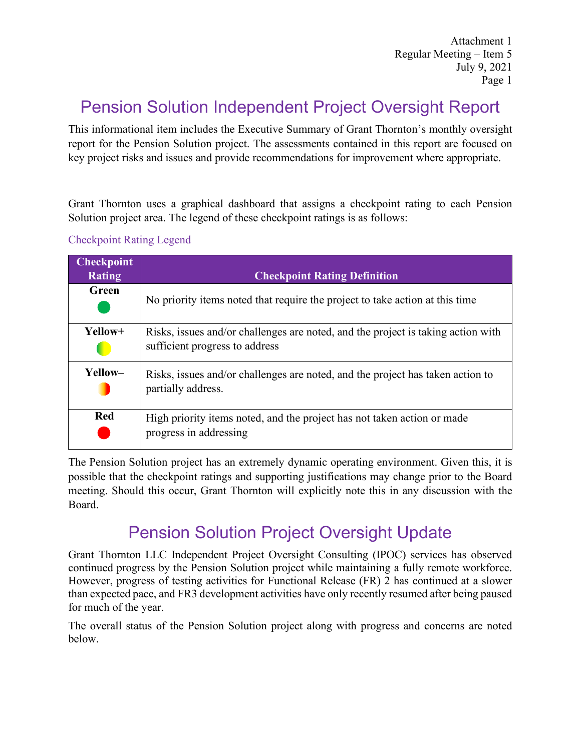Attachment 1 Regular Meeting – Item 5 July 9, 2021 Page 1

## Pension Solution Independent Project Oversight Report

This informational item includes the Executive Summary of Grant Thornton's monthly oversight report for the Pension Solution project. The assessments contained in this report are focused on key project risks and issues and provide recommendations for improvement where appropriate.

Grant Thornton uses a graphical dashboard that assigns a checkpoint rating to each Pension Solution project area. The legend of these checkpoint ratings is as follows:

| <b>Checkpoint</b><br><b>Rating</b> | <b>Checkpoint Rating Definition</b>                                                                                |
|------------------------------------|--------------------------------------------------------------------------------------------------------------------|
| Green                              | No priority items noted that require the project to take action at this time                                       |
| Yellow+                            | Risks, issues and/or challenges are noted, and the project is taking action with<br>sufficient progress to address |
| Yellow-                            | Risks, issues and/or challenges are noted, and the project has taken action to<br>partially address.               |
| <b>Red</b>                         | High priority items noted, and the project has not taken action or made<br>progress in addressing                  |

#### Checkpoint Rating Legend

The Pension Solution project has an extremely dynamic operating environment. Given this, it is possible that the checkpoint ratings and supporting justifications may change prior to the Board meeting. Should this occur, Grant Thornton will explicitly note this in any discussion with the Board.

### Pension Solution Project Oversight Update

Grant Thornton LLC Independent Project Oversight Consulting (IPOC) services has observed continued progress by the Pension Solution project while maintaining a fully remote workforce. However, progress of testing activities for Functional Release (FR) 2 has continued at a slower than expected pace, and FR3 development activities have only recently resumed after being paused for much of the year.

The overall status of the Pension Solution project along with progress and concerns are noted below.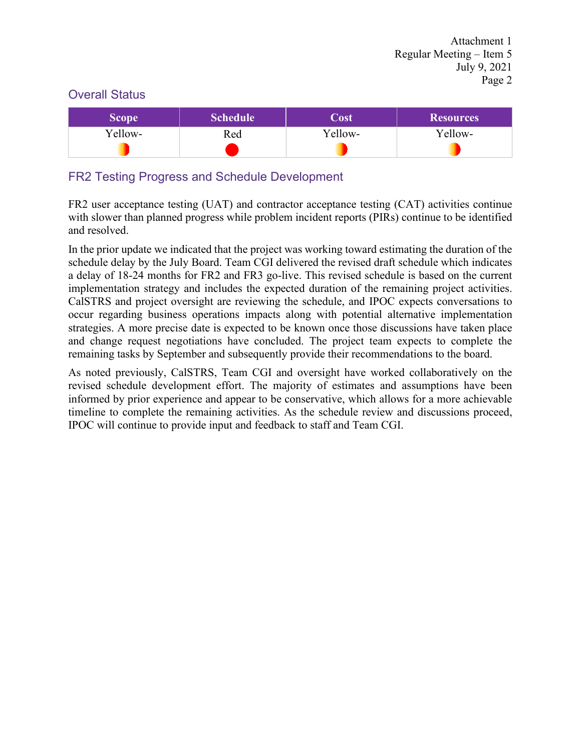#### Overall Status

| <b>Scope</b> | Schedule <sup>1</sup> | Cost    | <b>Resources</b> |
|--------------|-----------------------|---------|------------------|
| Yellow-      | Red                   | Yellow- | Yellow-          |
|              |                       |         |                  |

#### FR2 Testing Progress and Schedule Development

FR2 user acceptance testing (UAT) and contractor acceptance testing (CAT) activities continue with slower than planned progress while problem incident reports (PIRs) continue to be identified and resolved.

In the prior update we indicated that the project was working toward estimating the duration of the schedule delay by the July Board. Team CGI delivered the revised draft schedule which indicates a delay of 18-24 months for FR2 and FR3 go-live. This revised schedule is based on the current implementation strategy and includes the expected duration of the remaining project activities. CalSTRS and project oversight are reviewing the schedule, and IPOC expects conversations to occur regarding business operations impacts along with potential alternative implementation strategies. A more precise date is expected to be known once those discussions have taken place and change request negotiations have concluded. The project team expects to complete the remaining tasks by September and subsequently provide their recommendations to the board.

As noted previously, CalSTRS, Team CGI and oversight have worked collaboratively on the revised schedule development effort. The majority of estimates and assumptions have been informed by prior experience and appear to be conservative, which allows for a more achievable timeline to complete the remaining activities. As the schedule review and discussions proceed, IPOC will continue to provide input and feedback to staff and Team CGI.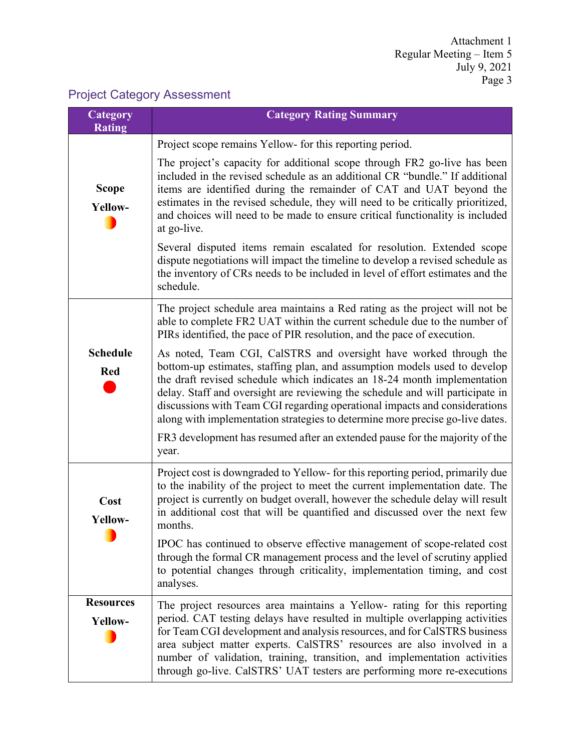### Project Category Assessment

| Category<br><b>Rating</b>     | <b>Category Rating Summary</b>                                                                                                                                                                                                                                                                                                                                                                                                                                                                                                                                                                |
|-------------------------------|-----------------------------------------------------------------------------------------------------------------------------------------------------------------------------------------------------------------------------------------------------------------------------------------------------------------------------------------------------------------------------------------------------------------------------------------------------------------------------------------------------------------------------------------------------------------------------------------------|
|                               | Project scope remains Yellow- for this reporting period.                                                                                                                                                                                                                                                                                                                                                                                                                                                                                                                                      |
| <b>Scope</b><br>Yellow-       | The project's capacity for additional scope through FR2 go-live has been<br>included in the revised schedule as an additional CR "bundle." If additional<br>items are identified during the remainder of CAT and UAT beyond the<br>estimates in the revised schedule, they will need to be critically prioritized,<br>and choices will need to be made to ensure critical functionality is included<br>at go-live.                                                                                                                                                                            |
|                               | Several disputed items remain escalated for resolution. Extended scope<br>dispute negotiations will impact the timeline to develop a revised schedule as<br>the inventory of CRs needs to be included in level of effort estimates and the<br>schedule.                                                                                                                                                                                                                                                                                                                                       |
|                               | The project schedule area maintains a Red rating as the project will not be<br>able to complete FR2 UAT within the current schedule due to the number of<br>PIRs identified, the pace of PIR resolution, and the pace of execution.                                                                                                                                                                                                                                                                                                                                                           |
| <b>Schedule</b><br><b>Red</b> | As noted, Team CGI, CalSTRS and oversight have worked through the<br>bottom-up estimates, staffing plan, and assumption models used to develop<br>the draft revised schedule which indicates an 18-24 month implementation<br>delay. Staff and oversight are reviewing the schedule and will participate in<br>discussions with Team CGI regarding operational impacts and considerations<br>along with implementation strategies to determine more precise go-live dates.<br>FR3 development has resumed after an extended pause for the majority of the<br>year.                            |
| Cost<br>Yellow-               | Project cost is downgraded to Yellow- for this reporting period, primarily due<br>to the inability of the project to meet the current implementation date. The<br>project is currently on budget overall, however the schedule delay will result<br>in additional cost that will be quantified and discussed over the next few<br>months.<br>IPOC has continued to observe effective management of scope-related cost<br>through the formal CR management process and the level of scrutiny applied<br>to potential changes through criticality, implementation timing, and cost<br>analyses. |
| <b>Resources</b><br>Yellow-   | The project resources area maintains a Yellow- rating for this reporting<br>period. CAT testing delays have resulted in multiple overlapping activities<br>for Team CGI development and analysis resources, and for CalSTRS business<br>area subject matter experts. CalSTRS' resources are also involved in a<br>number of validation, training, transition, and implementation activities<br>through go-live. CalSTRS' UAT testers are performing more re-executions                                                                                                                        |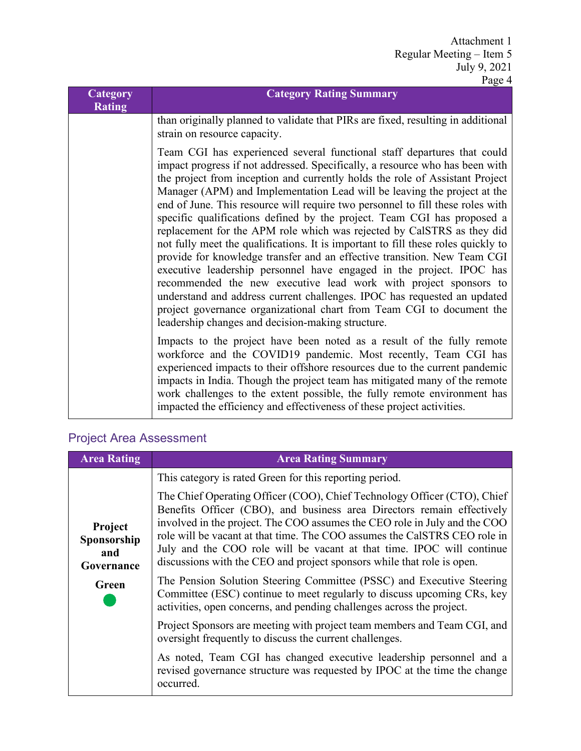| Category<br><b>Rating</b> | <b>Category Rating Summary</b>                                                                                                                                                                                                                                                                                                                                                                                                                                                                                                                                                                                                                                                                                                                                                                                                                                                                                                                                                                                                                                                    |
|---------------------------|-----------------------------------------------------------------------------------------------------------------------------------------------------------------------------------------------------------------------------------------------------------------------------------------------------------------------------------------------------------------------------------------------------------------------------------------------------------------------------------------------------------------------------------------------------------------------------------------------------------------------------------------------------------------------------------------------------------------------------------------------------------------------------------------------------------------------------------------------------------------------------------------------------------------------------------------------------------------------------------------------------------------------------------------------------------------------------------|
|                           | than originally planned to validate that PIRs are fixed, resulting in additional<br>strain on resource capacity.                                                                                                                                                                                                                                                                                                                                                                                                                                                                                                                                                                                                                                                                                                                                                                                                                                                                                                                                                                  |
|                           | Team CGI has experienced several functional staff departures that could<br>impact progress if not addressed. Specifically, a resource who has been with<br>the project from inception and currently holds the role of Assistant Project<br>Manager (APM) and Implementation Lead will be leaving the project at the<br>end of June. This resource will require two personnel to fill these roles with<br>specific qualifications defined by the project. Team CGI has proposed a<br>replacement for the APM role which was rejected by CalSTRS as they did<br>not fully meet the qualifications. It is important to fill these roles quickly to<br>provide for knowledge transfer and an effective transition. New Team CGI<br>executive leadership personnel have engaged in the project. IPOC has<br>recommended the new executive lead work with project sponsors to<br>understand and address current challenges. IPOC has requested an updated<br>project governance organizational chart from Team CGI to document the<br>leadership changes and decision-making structure. |
|                           | Impacts to the project have been noted as a result of the fully remote<br>workforce and the COVID19 pandemic. Most recently, Team CGI has<br>experienced impacts to their offshore resources due to the current pandemic<br>impacts in India. Though the project team has mitigated many of the remote<br>work challenges to the extent possible, the fully remote environment has<br>impacted the efficiency and effectiveness of these project activities.                                                                                                                                                                                                                                                                                                                                                                                                                                                                                                                                                                                                                      |

### Project Area Assessment

| <b>Area Rating</b>                          | <b>Area Rating Summary</b>                                                                                                                                                                                                                                                                                                                                                                                                                                      |
|---------------------------------------------|-----------------------------------------------------------------------------------------------------------------------------------------------------------------------------------------------------------------------------------------------------------------------------------------------------------------------------------------------------------------------------------------------------------------------------------------------------------------|
|                                             | This category is rated Green for this reporting period.                                                                                                                                                                                                                                                                                                                                                                                                         |
| Project<br>Sponsorship<br>and<br>Governance | The Chief Operating Officer (COO), Chief Technology Officer (CTO), Chief<br>Benefits Officer (CBO), and business area Directors remain effectively<br>involved in the project. The COO assumes the CEO role in July and the COO<br>role will be vacant at that time. The COO assumes the CalSTRS CEO role in<br>July and the COO role will be vacant at that time. IPOC will continue<br>discussions with the CEO and project sponsors while that role is open. |
| Green                                       | The Pension Solution Steering Committee (PSSC) and Executive Steering<br>Committee (ESC) continue to meet regularly to discuss upcoming CRs, key<br>activities, open concerns, and pending challenges across the project.                                                                                                                                                                                                                                       |
|                                             | Project Sponsors are meeting with project team members and Team CGI, and<br>oversight frequently to discuss the current challenges.                                                                                                                                                                                                                                                                                                                             |
|                                             | As noted, Team CGI has changed executive leadership personnel and a<br>revised governance structure was requested by IPOC at the time the change<br>occurred.                                                                                                                                                                                                                                                                                                   |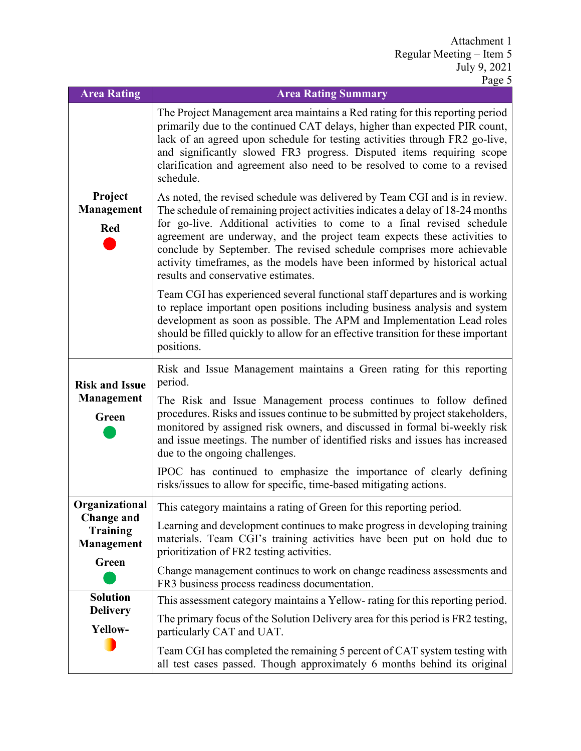| <b>Area Rating</b>                                 | <b>Area Rating Summary</b>                                                                                                                                                                                                                                                                                                                                                                                                                                                                                       |
|----------------------------------------------------|------------------------------------------------------------------------------------------------------------------------------------------------------------------------------------------------------------------------------------------------------------------------------------------------------------------------------------------------------------------------------------------------------------------------------------------------------------------------------------------------------------------|
|                                                    | The Project Management area maintains a Red rating for this reporting period<br>primarily due to the continued CAT delays, higher than expected PIR count,<br>lack of an agreed upon schedule for testing activities through FR2 go-live,<br>and significantly slowed FR3 progress. Disputed items requiring scope<br>clarification and agreement also need to be resolved to come to a revised<br>schedule.                                                                                                     |
| Project<br>Management<br><b>Red</b>                | As noted, the revised schedule was delivered by Team CGI and is in review.<br>The schedule of remaining project activities indicates a delay of 18-24 months<br>for go-live. Additional activities to come to a final revised schedule<br>agreement are underway, and the project team expects these activities to<br>conclude by September. The revised schedule comprises more achievable<br>activity timeframes, as the models have been informed by historical actual<br>results and conservative estimates. |
|                                                    | Team CGI has experienced several functional staff departures and is working<br>to replace important open positions including business analysis and system<br>development as soon as possible. The APM and Implementation Lead roles<br>should be filled quickly to allow for an effective transition for these important<br>positions.                                                                                                                                                                           |
| <b>Risk and Issue</b>                              | Risk and Issue Management maintains a Green rating for this reporting<br>period.                                                                                                                                                                                                                                                                                                                                                                                                                                 |
| Management<br>Green                                | The Risk and Issue Management process continues to follow defined<br>procedures. Risks and issues continue to be submitted by project stakeholders,<br>monitored by assigned risk owners, and discussed in formal bi-weekly risk<br>and issue meetings. The number of identified risks and issues has increased<br>due to the ongoing challenges.                                                                                                                                                                |
|                                                    | IPOC has continued to emphasize the importance of clearly defining<br>risks/issues to allow for specific, time-based mitigating actions.                                                                                                                                                                                                                                                                                                                                                                         |
| Organizational                                     | This category maintains a rating of Green for this reporting period.                                                                                                                                                                                                                                                                                                                                                                                                                                             |
| <b>Change and</b><br><b>Training</b><br>Management | Learning and development continues to make progress in developing training<br>materials. Team CGI's training activities have been put on hold due to<br>prioritization of FR2 testing activities.                                                                                                                                                                                                                                                                                                                |
| Green                                              | Change management continues to work on change readiness assessments and<br>FR3 business process readiness documentation.                                                                                                                                                                                                                                                                                                                                                                                         |
| <b>Solution</b>                                    | This assessment category maintains a Yellow-rating for this reporting period.                                                                                                                                                                                                                                                                                                                                                                                                                                    |
| <b>Delivery</b><br>Yellow-                         | The primary focus of the Solution Delivery area for this period is FR2 testing,<br>particularly CAT and UAT.                                                                                                                                                                                                                                                                                                                                                                                                     |
|                                                    | Team CGI has completed the remaining 5 percent of CAT system testing with<br>all test cases passed. Though approximately 6 months behind its original                                                                                                                                                                                                                                                                                                                                                            |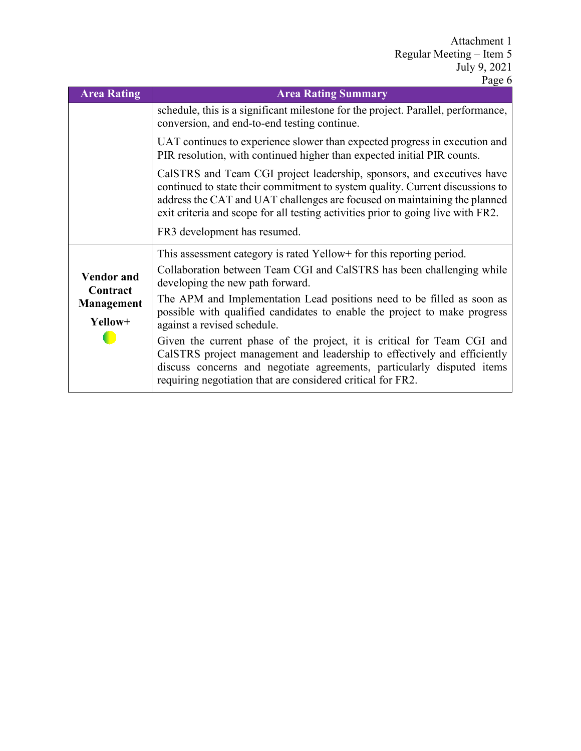| <b>Area Rating</b>                          | 1 agu v<br><b>Area Rating Summary</b>                                                                                                                                                                                                                                                                                                   |
|---------------------------------------------|-----------------------------------------------------------------------------------------------------------------------------------------------------------------------------------------------------------------------------------------------------------------------------------------------------------------------------------------|
|                                             | schedule, this is a significant milestone for the project. Parallel, performance,<br>conversion, and end-to-end testing continue.                                                                                                                                                                                                       |
|                                             | UAT continues to experience slower than expected progress in execution and<br>PIR resolution, with continued higher than expected initial PIR counts.                                                                                                                                                                                   |
|                                             | CalSTRS and Team CGI project leadership, sponsors, and executives have<br>continued to state their commitment to system quality. Current discussions to<br>address the CAT and UAT challenges are focused on maintaining the planned<br>exit criteria and scope for all testing activities prior to going live with FR2.                |
|                                             | FR3 development has resumed.                                                                                                                                                                                                                                                                                                            |
| <b>Vendor</b> and<br>Contract<br>Management | This assessment category is rated Yellow for this reporting period.<br>Collaboration between Team CGI and CalSTRS has been challenging while<br>developing the new path forward.<br>The APM and Implementation Lead positions need to be filled as soon as<br>possible with qualified candidates to enable the project to make progress |
| Yellow+                                     | against a revised schedule.<br>Given the current phase of the project, it is critical for Team CGI and<br>CalSTRS project management and leadership to effectively and efficiently<br>discuss concerns and negotiate agreements, particularly disputed items<br>requiring negotiation that are considered critical for FR2.             |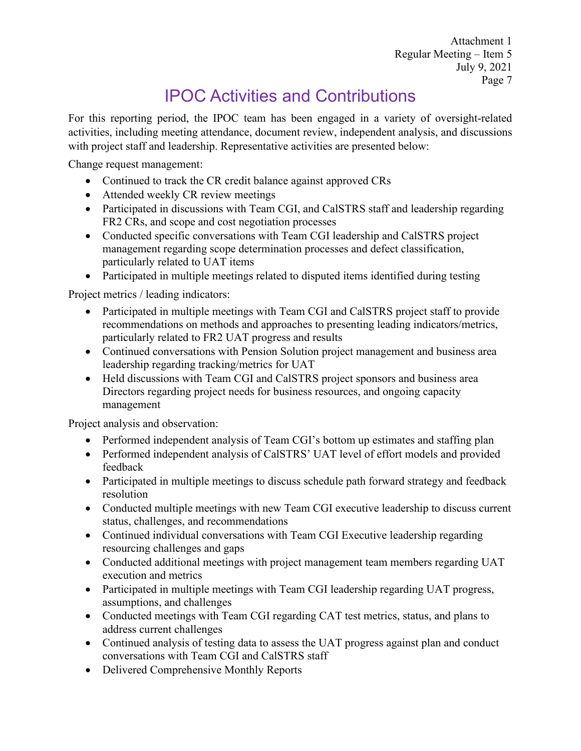# IPOC Activities and Contributions

For this reporting period, the IPOC team has been engaged in a variety of oversight-related activities, including meeting attendance, document review, independent analysis, and discussions with project staff and leadership. Representative activities are presented below:

Change request management:

- Continued to track the CR credit balance against approved CRs
- Attended weekly CR review meetings
- Participated in discussions with Team CGI, and CalSTRS staff and leadership regarding FR2 CRs, and scope and cost negotiation processes
- Conducted specific conversations with Team CGI leadership and CalSTRS project management regarding scope determination processes and defect classification, particularly related to UAT items
- Participated in multiple meetings related to disputed items identified during testing

Project metrics / leading indicators:

- Participated in multiple meetings with Team CGI and CalSTRS project staff to provide recommendations on methods and approaches to presenting leading indicators/metrics, particularly related to FR2 UAT progress and results
- Continued conversations with Pension Solution project management and business area leadership regarding tracking/metrics for UAT
- Held discussions with Team CGI and CalSTRS project sponsors and business area Directors regarding project needs for business resources, and ongoing capacity management

Project analysis and observation:

- Performed independent analysis of Team CGI's bottom up estimates and staffing plan
- Performed independent analysis of CalSTRS' UAT level of effort models and provided feedback
- Participated in multiple meetings to discuss schedule path forward strategy and feedback resolution
- Conducted multiple meetings with new Team CGI executive leadership to discuss current status, challenges, and recommendations
- Continued individual conversations with Team CGI Executive leadership regarding resourcing challenges and gaps
- Conducted additional meetings with project management team members regarding UAT execution and metrics
- Participated in multiple meetings with Team CGI leadership regarding UAT progress, assumptions, and challenges
- Conducted meetings with Team CGI regarding CAT test metrics, status, and plans to address current challenges
- Continued analysis of testing data to assess the UAT progress against plan and conduct conversations with Team CGI and CalSTRS staff
- Delivered Comprehensive Monthly Reports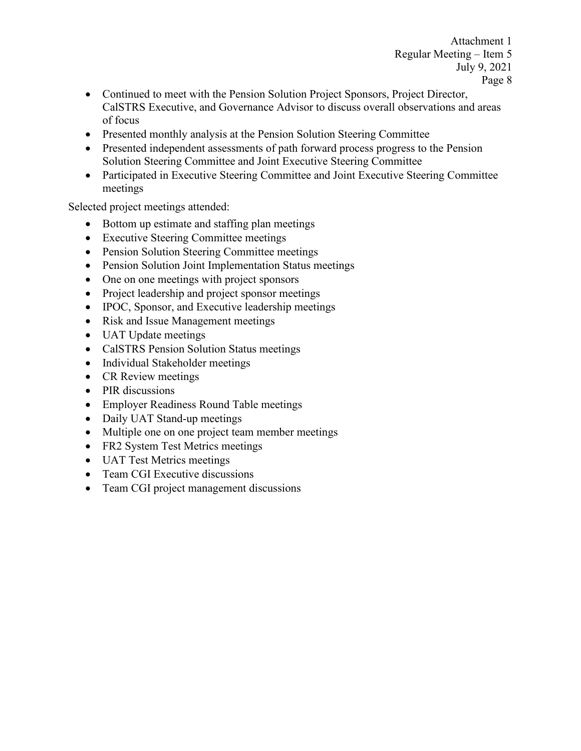- Continued to meet with the Pension Solution Project Sponsors, Project Director, CalSTRS Executive, and Governance Advisor to discuss overall observations and areas of focus
- Presented monthly analysis at the Pension Solution Steering Committee
- Presented independent assessments of path forward process progress to the Pension Solution Steering Committee and Joint Executive Steering Committee
- Participated in Executive Steering Committee and Joint Executive Steering Committee meetings

Selected project meetings attended:

- Bottom up estimate and staffing plan meetings
- Executive Steering Committee meetings
- Pension Solution Steering Committee meetings
- Pension Solution Joint Implementation Status meetings
- One on one meetings with project sponsors
- Project leadership and project sponsor meetings
- IPOC, Sponsor, and Executive leadership meetings
- Risk and Issue Management meetings
- UAT Update meetings
- CalSTRS Pension Solution Status meetings
- Individual Stakeholder meetings
- CR Review meetings
- PIR discussions
- Employer Readiness Round Table meetings
- Daily UAT Stand-up meetings
- Multiple one on one project team member meetings
- FR2 System Test Metrics meetings
- UAT Test Metrics meetings
- Team CGI Executive discussions
- Team CGI project management discussions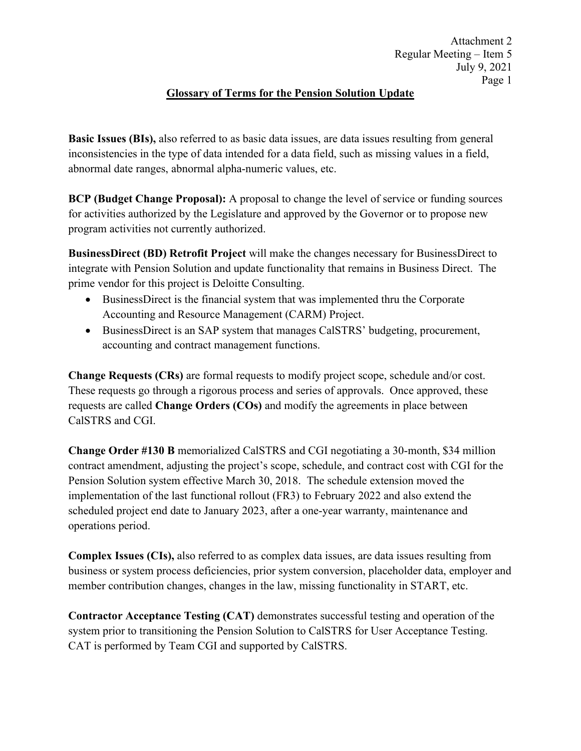#### **Glossary of Terms for the Pension Solution Update**

**Basic Issues (BIs),** also referred to as basic data issues, are data issues resulting from general inconsistencies in the type of data intended for a data field, such as missing values in a field, abnormal date ranges, abnormal alpha-numeric values, etc.

**BCP (Budget Change Proposal):** A proposal to change the level of service or funding sources for activities authorized by the Legislature and approved by the Governor or to propose new program activities not currently authorized.

**BusinessDirect (BD) Retrofit Project** will make the changes necessary for BusinessDirect to integrate with Pension Solution and update functionality that remains in Business Direct. The prime vendor for this project is Deloitte Consulting.

- BusinessDirect is the financial system that was implemented thru the Corporate Accounting and Resource Management (CARM) Project.
- BusinessDirect is an SAP system that manages CalSTRS' budgeting, procurement, accounting and contract management functions.

**Change Requests (CRs)** are formal requests to modify project scope, schedule and/or cost. These requests go through a rigorous process and series of approvals. Once approved, these requests are called **Change Orders (COs)** and modify the agreements in place between CalSTRS and CGI.

**Change Order #130 B** memorialized CalSTRS and CGI negotiating a 30-month, \$34 million contract amendment, adjusting the project's scope, schedule, and contract cost with CGI for the Pension Solution system effective March 30, 2018. The schedule extension moved the implementation of the last functional rollout (FR3) to February 2022 and also extend the scheduled project end date to January 2023, after a one-year warranty, maintenance and operations period.

**Complex Issues (CIs),** also referred to as complex data issues, are data issues resulting from business or system process deficiencies, prior system conversion, placeholder data, employer and member contribution changes, changes in the law, missing functionality in START, etc.

**Contractor Acceptance Testing (CAT)** demonstrates successful testing and operation of the system prior to transitioning the Pension Solution to CalSTRS for User Acceptance Testing. CAT is performed by Team CGI and supported by CalSTRS.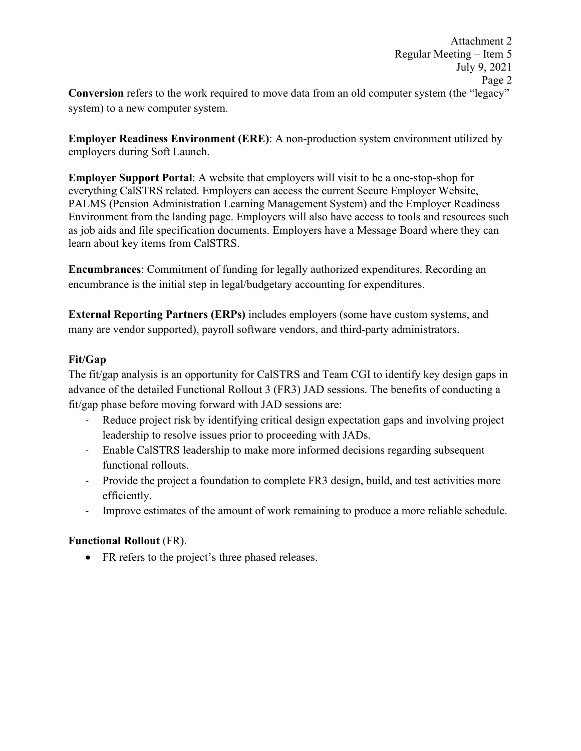**Employer Readiness Environment (ERE)**: A non-production system environment utilized by employers during Soft Launch.

**Employer Support Portal**: A website that employers will visit to be a one-stop-shop for everything CalSTRS related. Employers can access the current Secure Employer Website, PALMS (Pension Administration Learning Management System) and the Employer Readiness Environment from the landing page. Employers will also have access to tools and resources such as job aids and file specification documents. Employers have a Message Board where they can learn about key items from CalSTRS.

**Encumbrances**: Commitment of funding for legally authorized expenditures. Recording an encumbrance is the initial step in legal/budgetary accounting for expenditures.

**External Reporting Partners (ERPs)** includes employers (some have custom systems, and many are vendor supported), payroll software vendors, and third-party administrators.

#### **Fit/Gap**

The fit/gap analysis is an opportunity for CalSTRS and Team CGI to identify key design gaps in advance of the detailed Functional Rollout 3 (FR3) JAD sessions. The benefits of conducting a fit/gap phase before moving forward with JAD sessions are:

- Reduce project risk by identifying critical design expectation gaps and involving project leadership to resolve issues prior to proceeding with JADs.
- Enable CalSTRS leadership to make more informed decisions regarding subsequent functional rollouts.
- Provide the project a foundation to complete FR3 design, build, and test activities more efficiently.
- Improve estimates of the amount of work remaining to produce a more reliable schedule.

#### **Functional Rollout** (FR).

• FR refers to the project's three phased releases.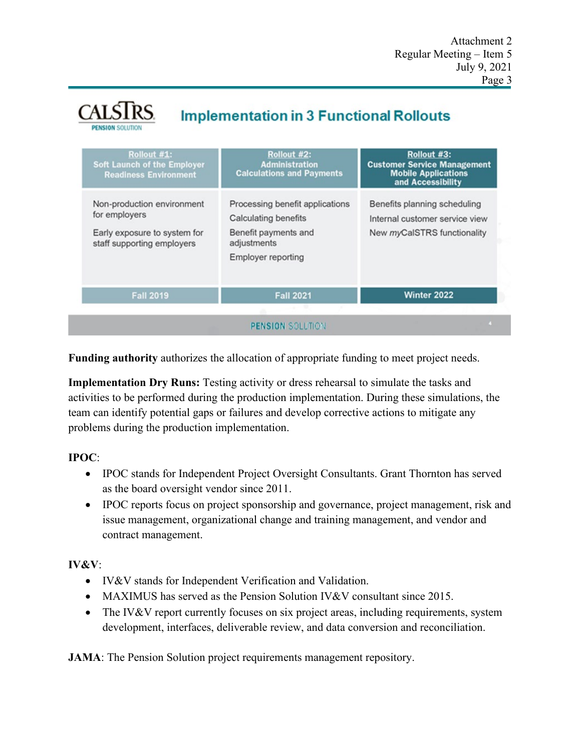# **Implementation in 3 Functional Rollouts**

| Rollout #1:<br><b>Soft Launch of the Employer</b><br><b>Readiness Environment</b>                         | Rollout #2:<br><b>Administration</b><br><b>Calculations and Payments</b>                                                           | Rollout #3:<br><b>Customer Service Management</b><br><b>Mobile Applications</b><br>and Accessibility |
|-----------------------------------------------------------------------------------------------------------|------------------------------------------------------------------------------------------------------------------------------------|------------------------------------------------------------------------------------------------------|
| Non-production environment<br>for employers<br>Early exposure to system for<br>staff supporting employers | Processing benefit applications<br><b>Calculating benefits</b><br>Benefit payments and<br>adjustments<br><b>Employer reporting</b> | Benefits planning scheduling<br>Internal customer service view<br>New myCalSTRS functionality        |
| <b>Fall 2019</b>                                                                                          | <b>Fall 2021</b><br><b>All Concerts</b>                                                                                            | Winter 2022                                                                                          |

**Funding authority** authorizes the allocation of appropriate funding to meet project needs.

**Implementation Dry Runs:** Testing activity or dress rehearsal to simulate the tasks and activities to be performed during the production implementation. During these simulations, the team can identify potential gaps or failures and develop corrective actions to mitigate any problems during the production implementation.

#### **IPOC**:

- IPOC stands for Independent Project Oversight Consultants. Grant Thornton has served as the board oversight vendor since 2011.
- IPOC reports focus on project sponsorship and governance, project management, risk and issue management, organizational change and training management, and vendor and contract management.

#### **IV&V**:

- IV&V stands for Independent Verification and Validation.
- MAXIMUS has served as the Pension Solution IV&V consultant since 2015.
- The IV&V report currently focuses on six project areas, including requirements, system development, interfaces, deliverable review, and data conversion and reconciliation.

**JAMA**: The Pension Solution project requirements management repository.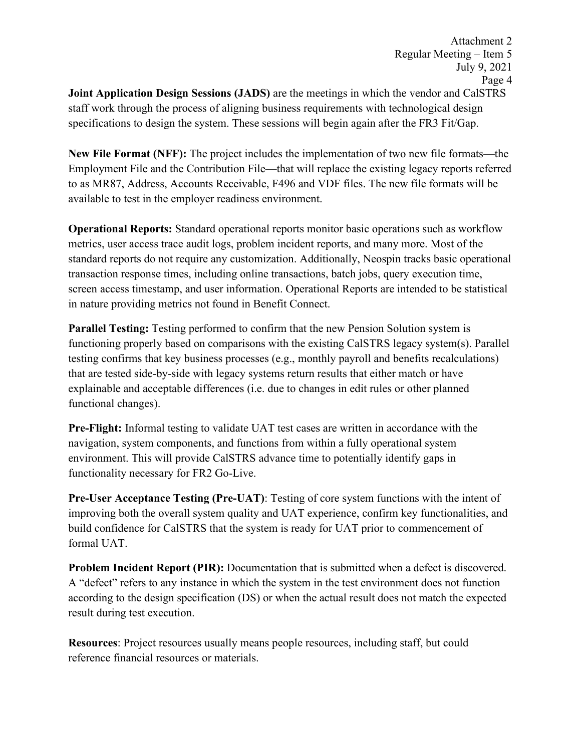**Joint Application Design Sessions (JADS)** are the meetings in which the vendor and CalSTRS staff work through the process of aligning business requirements with technological design specifications to design the system. These sessions will begin again after the FR3 Fit/Gap.

**New File Format (NFF):** The project includes the implementation of two new file formats—the Employment File and the Contribution File—that will replace the existing legacy reports referred to as MR87, Address, Accounts Receivable, F496 and VDF files. The new file formats will be available to test in the employer readiness environment.

**Operational Reports:** Standard operational reports monitor basic operations such as workflow metrics, user access trace audit logs, problem incident reports, and many more. Most of the standard reports do not require any customization. Additionally, Neospin tracks basic operational transaction response times, including online transactions, batch jobs, query execution time, screen access timestamp, and user information. Operational Reports are intended to be statistical in nature providing metrics not found in Benefit Connect.

**Parallel Testing:** Testing performed to confirm that the new Pension Solution system is functioning properly based on comparisons with the existing CalSTRS legacy system(s). Parallel testing confirms that key business processes (e.g., monthly payroll and benefits recalculations) that are tested side-by-side with legacy systems return results that either match or have explainable and acceptable differences (i.e. due to changes in edit rules or other planned functional changes).

**Pre-Flight:** Informal testing to validate UAT test cases are written in accordance with the navigation, system components, and functions from within a fully operational system environment. This will provide CalSTRS advance time to potentially identify gaps in functionality necessary for FR2 Go-Live.

**Pre-User Acceptance Testing (Pre-UAT)**: Testing of core system functions with the intent of improving both the overall system quality and UAT experience, confirm key functionalities, and build confidence for CalSTRS that the system is ready for UAT prior to commencement of formal UAT.

**Problem Incident Report (PIR):** Documentation that is submitted when a defect is discovered. A "defect" refers to any instance in which the system in the test environment does not function according to the design specification (DS) or when the actual result does not match the expected result during test execution.

**Resources**: Project resources usually means people resources, including staff, but could reference financial resources or materials.